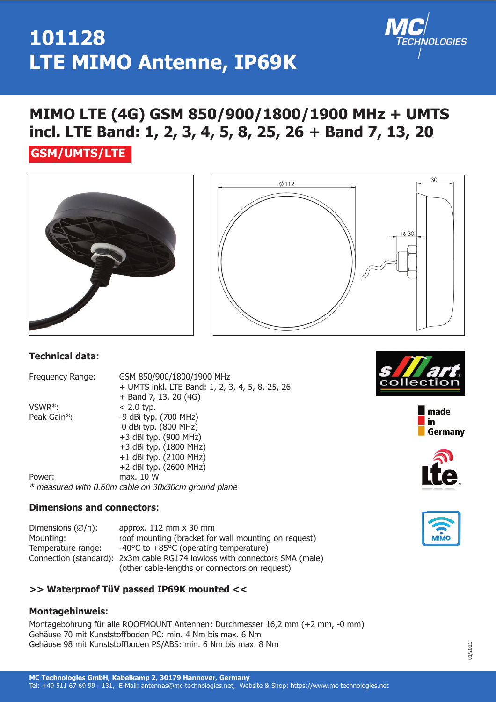### **101128 LTE MIMO Antenne, IP69K**

### **MIMO LTE (4G) GSM 850/900/1800/1900 MHz + UMTS incl. LTE Band: 1, 2, 3, 4, 5, 8, 25, 26 + Band 7, 13, 20**

### **GSM/UMTS/LTE**





#### **Technical data:**

Frequency Range: GSM 850/900/1800/1900 MHz + UMTS inkl. LTE Band: 1, 2, 3, 4, 5, 8, 25, 26 + Band 7, 13, 20 (4G)  $VSWR^*$ :  $\leq 2.0$  typ. Peak Gain\*: -9 dBi typ. (700 MHz) 0 dBi typ. (800 MHz) +3 dBi typ. (900 MHz) +3 dBi typ. (1800 MHz) +1 dBi typ. (2100 MHz) +2 dBi typ. (2600 MHz) Power: max. 10 W

\* measured with 0.60m cable on 30x30cm ground plane

#### **Dimensions and connectors:**

Dimensions  $(\emptyset/h)$ : approx. 112 mm x 30 mm Mounting: roof mounting (bracket for wall mounting on request) Temperature range:  $-40^{\circ}$ C to  $+85^{\circ}$ C (operating temperature) Connection (standard): 2x3m cable RG174 lowloss with connectors SMA (male) (other cable-lengths or connectors on request)

#### **>> Waterproof TüV passed IP69K mounted <<**

#### **Montagehinweis:**

Montagebohrung für alle ROOFMOUNT Antennen: Durchmesser 16,2 mm (+2 mm, -0 mm) Gehäuse 70 mit Kunststoffboden PC: min. 4 Nm bis max. 6 Nm Gehäuse 98 mit Kunststoffboden PS/ABS: min. 6 Nm bis max. 8 Nm





**INOLOGIES** 



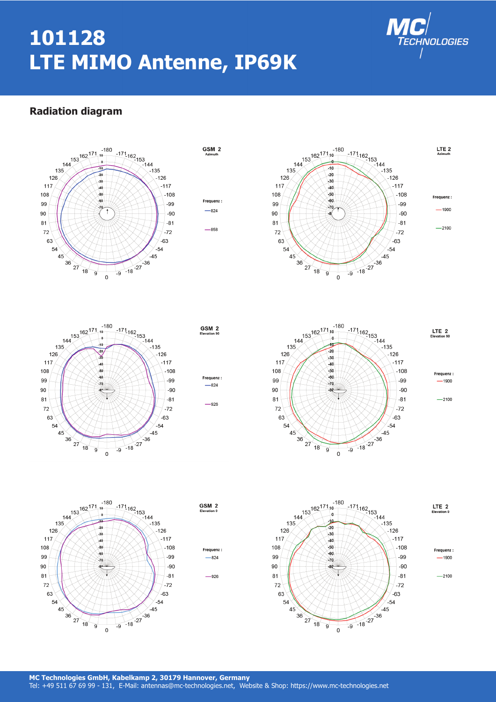# **101128 LTE MIMO Antenne, IP69K**



#### **Radiation diagram**





GSM<sub>2</sub>









 $-824$  $-926$